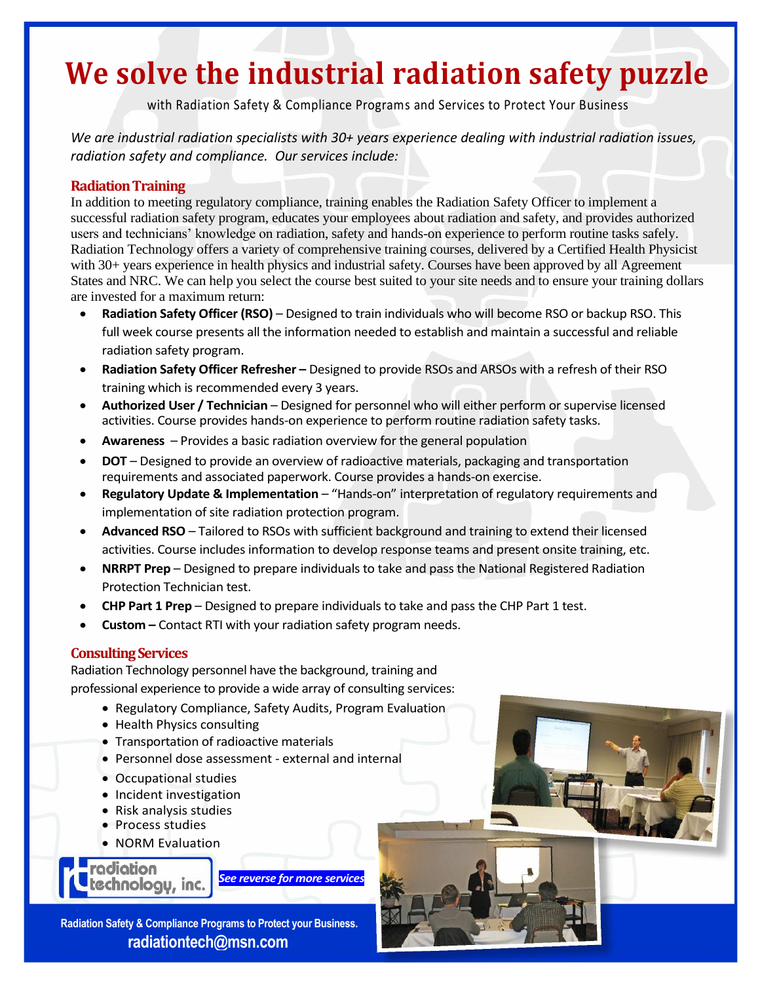# **We solve the industrial radiation safety puzzle**

with Radiation Safety & Compliance Programs and Services to Protect Your Business

*We are industrial radiation specialists with 30+ years experience dealing with industrial radiation issues, radiation safety and compliance. Our services include:* 

## **Radiation Training**

In addition to meeting regulatory compliance, training enables the Radiation Safety Officer to implement a successful radiation safety program, educates your employees about radiation and safety, and provides authorized users and technicians' knowledge on radiation, safety and hands-on experience to perform routine tasks safely. Radiation Technology offers a variety of comprehensive training courses, delivered by a Certified Health Physicist with 30+ years experience in health physics and industrial safety. Courses have been approved by all Agreement States and NRC. We can help you select the course best suited to your site needs and to ensure your training dollars are invested for a maximum return:

- **Radiation Safety Officer (RSO)** Designed to train individuals who will become RSO or backup RSO. This full week course presents all the information needed to establish and maintain a successful and reliable radiation safety program.
- **Radiation Safety Officer Refresher –** Designed to provide RSOs and ARSOs with a refresh of their RSO training which is recommended every 3 years.
- **Authorized User / Technician** Designed for personnel who will either perform or supervise licensed activities. Course provides hands-on experience to perform routine radiation safety tasks.
- **Awareness** Provides a basic radiation overview for the general population
- **DOT** Designed to provide an overview of radioactive materials, packaging and transportation requirements and associated paperwork. Course provides a hands-on exercise.
- **Regulatory Update & Implementation** "Hands-on" interpretation of regulatory requirements and implementation of site radiation protection program.
- **Advanced RSO** Tailored to RSOs with sufficient background and training to extend their licensed activities. Course includes information to develop response teams and present onsite training, etc.
- **NRRPT Prep**  Designed to prepare individuals to take and pass the National Registered Radiation Protection Technician test.
- **CHP Part 1 Prep**  Designed to prepare individuals to take and pass the CHP Part 1 test.
- **Custom –** Contact RTI with your radiation safety program needs.

### **Consulting Services**

Radiation Technology personnel have the background, training and professional experience to provide a wide array of consulting services:

- Regulatory Compliance, Safety Audits, Program Evaluation
- Health Physics consulting
- Transportation of radioactive materials
- Personnel dose assessment external and internal
- Occupational studies
- Incident investigation
- Risk analysis studies
- Process studies
- NORM Evaluation

adiation *See reverse for more services* echnologu, inc.

**Radiation Safety & Compliance Programs to Protect your Business. radiationtech@msn.com**